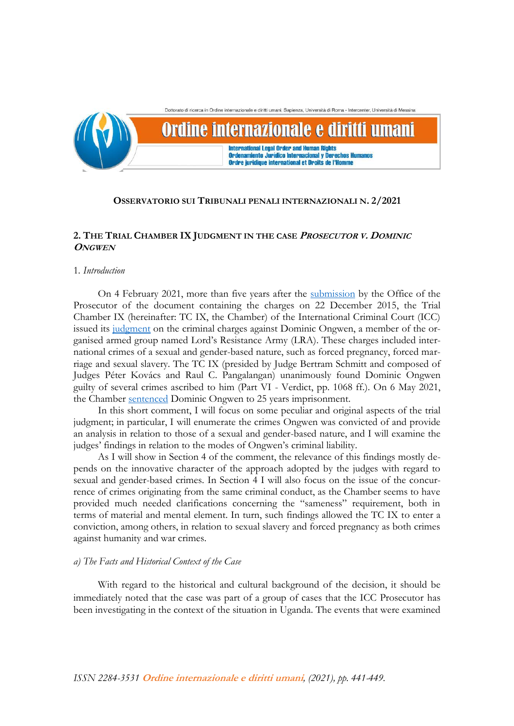

## **OSSERVATORIO SUI TRIBUNALI PENALI INTERNAZIONALI N. 2/2021**

# **2. THE TRIAL CHAMBER IX JUDGMENT IN THE CASE PROSECUTOR V. <sup>D</sup>OMINIC ONGWEN**

## 1*. Introduction*

On 4 February 2021, more than five years after the [submission](https://www.icc-cpi.int/Pages/record.aspx?docNo=ICC-02/04-01/15-375-AnxA-Red) by the Office of the Prosecutor of the document containing the charges on 22 December 2015, the Trial Chamber IX (hereinafter: TC IX, the Chamber) of the International Criminal Court (ICC) issued its [judgment](https://www.icc-cpi.int/Pages/record.aspx?docNo=ICC-02/04-01/15-1762-Red) on the criminal charges against Dominic Ongwen, a member of the organised armed group named Lord's Resistance Army (LRA). These charges included international crimes of a sexual and gender-based nature, such as forced pregnancy, forced marriage and sexual slavery. The TC IX (presided by Judge Bertram Schmitt and composed of Judges Péter Kovács and Raul C. Pangalangan) unanimously found Dominic Ongwen guilty of several crimes ascribed to him (Part VI - Verdict, pp. 1068 ff.). On 6 May 2021, the Chamber [sentenced](https://www.icc-cpi.int/CourtRecords/CR2021_04230.PDF) Dominic Ongwen to 25 years imprisonment.

In this short comment, I will focus on some peculiar and original aspects of the trial judgment; in particular, I will enumerate the crimes Ongwen was convicted of and provide an analysis in relation to those of a sexual and gender-based nature, and I will examine the judges' findings in relation to the modes of Ongwen's criminal liability.

As I will show in Section 4 of the comment, the relevance of this findings mostly depends on the innovative character of the approach adopted by the judges with regard to sexual and gender-based crimes. In Section 4 I will also focus on the issue of the concurrence of crimes originating from the same criminal conduct, as the Chamber seems to have provided much needed clarifications concerning the "sameness" requirement, both in terms of material and mental element. In turn, such findings allowed the TC IX to enter a conviction, among others, in relation to sexual slavery and forced pregnancy as both crimes against humanity and war crimes.

## *a) The Facts and Historical Context of the Case*

With regard to the historical and cultural background of the decision, it should be immediately noted that the case was part of a group of cases that the ICC Prosecutor has been investigating in the context of the situation in Uganda. The events that were examined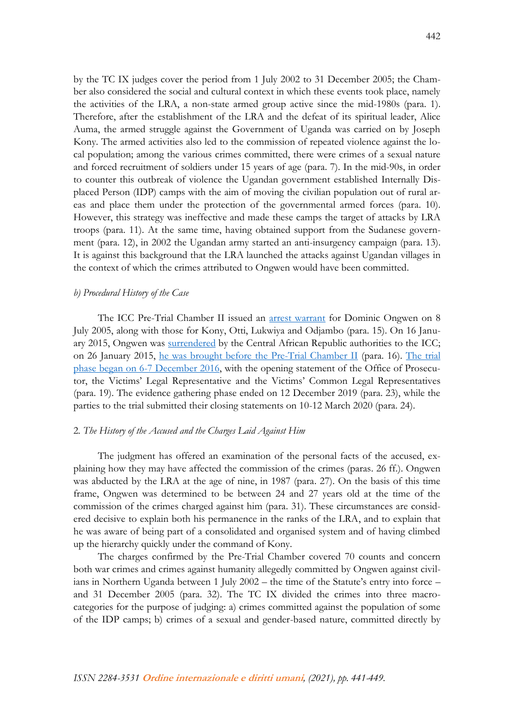by the TC IX judges cover the period from 1 July 2002 to 31 December 2005; the Chamber also considered the social and cultural context in which these events took place, namely the activities of the LRA, a non-state armed group active since the mid-1980s (para. 1). Therefore, after the establishment of the LRA and the defeat of its spiritual leader, Alice Auma, the armed struggle against the Government of Uganda was carried on by Joseph Kony. The armed activities also led to the commission of repeated violence against the local population; among the various crimes committed, there were crimes of a sexual nature and forced recruitment of soldiers under 15 years of age (para. 7). In the mid-90s, in order to counter this outbreak of violence the Ugandan government established Internally Displaced Person (IDP) camps with the aim of moving the civilian population out of rural areas and place them under the protection of the governmental armed forces (para. 10). However, this strategy was ineffective and made these camps the target of attacks by LRA troops (para. 11). At the same time, having obtained support from the Sudanese government (para. 12), in 2002 the Ugandan army started an anti-insurgency campaign (para. 13). It is against this background that the LRA launched the attacks against Ugandan villages in the context of which the crimes attributed to Ongwen would have been committed.

## *b) Procedural History of the Case*

The ICC Pre-Trial Chamber II issued an [arrest warrant](https://www.icc-cpi.int/Pages/record.aspx?docNo=ICC-02/04-01/05-57) for Dominic Ongwen on 8 July 2005, along with those for Kony, Otti, Lukwiya and Odjambo (para. 15). On 16 January 2015, Ongwen was [surrendered](https://www.icc-cpi.int/pages/item.aspx?name=pr1084) by the Central African Republic authorities to the ICC; on 26 January 2015, [he was brought before the Pre-Trial Chamber II](https://www.icc-cpi.int/pages/item.aspx?name=PR1085) (para. 16). [The trial](https://www.icc-cpi.int/Pages/item.aspx?name=pr1262)  [phase began on 6-7 December 2016,](https://www.icc-cpi.int/Pages/item.aspx?name=pr1262) with the opening statement of the Office of Prosecutor, the Victims' Legal Representative and the Victims' Common Legal Representatives (para. 19). The evidence gathering phase ended on 12 December 2019 (para. 23), while the parties to the trial submitted their closing statements on 10-12 March 2020 (para. 24).

## 2*. The History of the Accused and the Charges Laid Against Him*

The judgment has offered an examination of the personal facts of the accused, explaining how they may have affected the commission of the crimes (paras. 26 ff.). Ongwen was abducted by the LRA at the age of nine, in 1987 (para. 27). On the basis of this time frame, Ongwen was determined to be between 24 and 27 years old at the time of the commission of the crimes charged against him (para. 31). These circumstances are considered decisive to explain both his permanence in the ranks of the LRA, and to explain that he was aware of being part of a consolidated and organised system and of having climbed up the hierarchy quickly under the command of Kony.

The charges confirmed by the Pre-Trial Chamber covered 70 counts and concern both war crimes and crimes against humanity allegedly committed by Ongwen against civilians in Northern Uganda between 1 July 2002 – the time of the Statute's entry into force – and 31 December 2005 (para. 32). The TC IX divided the crimes into three macrocategories for the purpose of judging: a) crimes committed against the population of some of the IDP camps; b) crimes of a sexual and gender-based nature, committed directly by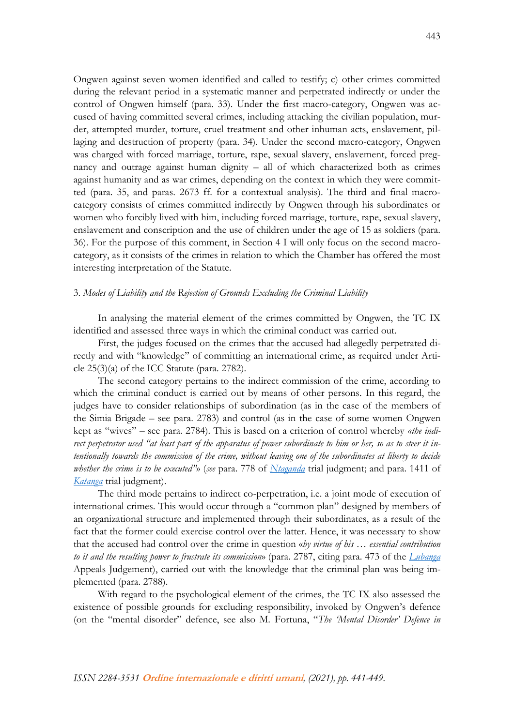Ongwen against seven women identified and called to testify; c) other crimes committed during the relevant period in a systematic manner and perpetrated indirectly or under the control of Ongwen himself (para. 33). Under the first macro-category, Ongwen was accused of having committed several crimes, including attacking the civilian population, murder, attempted murder, torture, cruel treatment and other inhuman acts, enslavement, pillaging and destruction of property (para. 34). Under the second macro-category, Ongwen was charged with forced marriage, torture, rape, sexual slavery, enslavement, forced pregnancy and outrage against human dignity – all of which characterized both as crimes against humanity and as war crimes, depending on the context in which they were committed (para. 35, and paras. 2673 ff. for a contextual analysis). The third and final macrocategory consists of crimes committed indirectly by Ongwen through his subordinates or women who forcibly lived with him, including forced marriage, torture, rape, sexual slavery, enslavement and conscription and the use of children under the age of 15 as soldiers (para. 36). For the purpose of this comment, in Section 4 I will only focus on the second macrocategory, as it consists of the crimes in relation to which the Chamber has offered the most interesting interpretation of the Statute.

## 3. *Modes of Liability and the Rejection of Grounds Excluding the Criminal Liability*

In analysing the material element of the crimes committed by Ongwen, the TC IX identified and assessed three ways in which the criminal conduct was carried out.

First, the judges focused on the crimes that the accused had allegedly perpetrated directly and with "knowledge" of committing an international crime, as required under Article 25(3)(a) of the ICC Statute (para. 2782).

The second category pertains to the indirect commission of the crime, according to which the criminal conduct is carried out by means of other persons. In this regard, the judges have to consider relationships of subordination (as in the case of the members of the Simia Brigade – see para. 2783) and control (as in the case of some women Ongwen kept as "wives" – see para. 2784). This is based on a criterion of control whereby *«the indirect perpetrator used "at least part of the apparatus of power subordinate to him or her, so as to steer it intentionally towards the commission of the crime, without leaving one of the subordinates at liberty to decide whether the crime is to be executed"*» (*see* para. 778 of *[Ntaganda](https://www.legal-tools.org/doc/80578a/)* trial judgment; and para. 1411 of *[Katanga](https://www.legal-tools.org/doc/f74b4f/)* trial judgment).

The third mode pertains to indirect co-perpetration, i.e. a joint mode of execution of international crimes. This would occur through a "common plan" designed by members of an organizational structure and implemented through their subordinates, as a result of the fact that the former could exercise control over the latter. Hence, it was necessary to show that the accused had control over the crime in question «*by virtue of his … essential contribution to it and the resulting power to frustrate its commission*» (para. 2787, citing para. 473 of the *[Lubanga](https://www.legal-tools.org/doc/585c75/)* Appeals Judgement), carried out with the knowledge that the criminal plan was being implemented (para. 2788).

With regard to the psychological element of the crimes, the TC IX also assessed the existence of possible grounds for excluding responsibility, invoked by Ongwen's defence (on the "mental disorder" defence, see also M. Fortuna, "*The 'Mental Disorder' Defence in*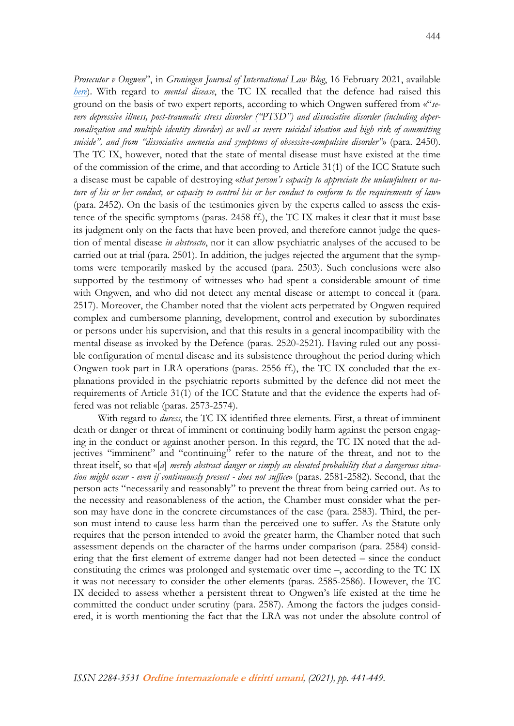*Prosecutor v Ongwen*", in *Groningen Journal of International Law Blog*, 16 February 2021, available *[here](https://grojil.org/2021/02/16/the-mental-disorder-defence-in-prosecutor-v-ongwen/)*). With regard to *mental disease*, the TC IX recalled that the defence had raised this ground on the basis of two expert reports, according to which Ongwen suffered from «"*severe depressive illness, post-traumatic stress disorder ("PTSD") and dissociative disorder (including depersonalization and multiple identity disorder) as well as severe suicidal ideation and high risk of committing suicide", and from "dissociative amnesia and symptoms of obsessive-compulsive disorder"*» (para. 2450). The TC IX, however, noted that the state of mental disease must have existed at the time of the commission of the crime, and that according to Article 31(1) of the ICC Statute such a disease must be capable of destroying «*that person's capacity to appreciate the unlawfulness or nature of his or her conduct, or capacity to control his or her conduct to conform to the requirements of law*» (para. 2452). On the basis of the testimonies given by the experts called to assess the existence of the specific symptoms (paras. 2458 ff.), the TC IX makes it clear that it must base its judgment only on the facts that have been proved, and therefore cannot judge the question of mental disease *in abstracto*, nor it can allow psychiatric analyses of the accused to be carried out at trial (para. 2501). In addition, the judges rejected the argument that the symptoms were temporarily masked by the accused (para. 2503). Such conclusions were also supported by the testimony of witnesses who had spent a considerable amount of time with Ongwen, and who did not detect any mental disease or attempt to conceal it (para. 2517). Moreover, the Chamber noted that the violent acts perpetrated by Ongwen required complex and cumbersome planning, development, control and execution by subordinates or persons under his supervision, and that this results in a general incompatibility with the mental disease as invoked by the Defence (paras. 2520-2521). Having ruled out any possible configuration of mental disease and its subsistence throughout the period during which Ongwen took part in LRA operations (paras. 2556 ff.), the TC IX concluded that the explanations provided in the psychiatric reports submitted by the defence did not meet the requirements of Article 31(1) of the ICC Statute and that the evidence the experts had offered was not reliable (paras. 2573-2574).

With regard to *duress*, the TC IX identified three elements. First, a threat of imminent death or danger or threat of imminent or continuing bodily harm against the person engaging in the conduct or against another person. In this regard, the TC IX noted that the adjectives "imminent" and "continuing" refer to the nature of the threat, and not to the threat itself, so that «[*a*] *merely abstract danger or simply an elevated probability that a dangerous situation might occur - even if continuously present - does not suffice*» (paras. 2581-2582). Second, that the person acts "necessarily and reasonably" to prevent the threat from being carried out. As to the necessity and reasonableness of the action, the Chamber must consider what the person may have done in the concrete circumstances of the case (para. 2583). Third, the person must intend to cause less harm than the perceived one to suffer. As the Statute only requires that the person intended to avoid the greater harm, the Chamber noted that such assessment depends on the character of the harms under comparison (para. 2584) considering that the first element of extreme danger had not been detected – since the conduct constituting the crimes was prolonged and systematic over time –, according to the TC IX it was not necessary to consider the other elements (paras. 2585-2586). However, the TC IX decided to assess whether a persistent threat to Ongwen's life existed at the time he committed the conduct under scrutiny (para. 2587). Among the factors the judges considered, it is worth mentioning the fact that the LRA was not under the absolute control of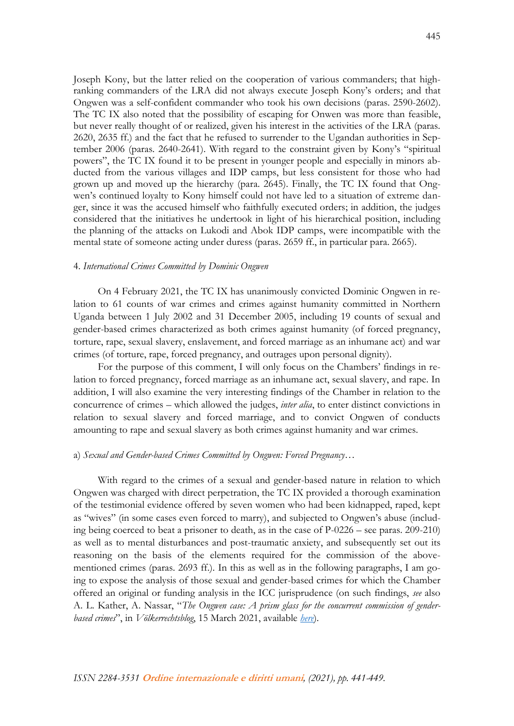Joseph Kony, but the latter relied on the cooperation of various commanders; that highranking commanders of the LRA did not always execute Joseph Kony's orders; and that Ongwen was a self-confident commander who took his own decisions (paras. 2590-2602). The TC IX also noted that the possibility of escaping for Onwen was more than feasible, but never really thought of or realized, given his interest in the activities of the LRA (paras. 2620, 2635 ff.) and the fact that he refused to surrender to the Ugandan authorities in September 2006 (paras. 2640-2641). With regard to the constraint given by Kony's "spiritual powers", the TC IX found it to be present in younger people and especially in minors abducted from the various villages and IDP camps, but less consistent for those who had grown up and moved up the hierarchy (para. 2645). Finally, the TC IX found that Ongwen's continued loyalty to Kony himself could not have led to a situation of extreme danger, since it was the accused himself who faithfully executed orders; in addition, the judges considered that the initiatives he undertook in light of his hierarchical position, including the planning of the attacks on Lukodi and Abok IDP camps, were incompatible with the mental state of someone acting under duress (paras. 2659 ff., in particular para. 2665).

#### 4. *International Crimes Committed by Dominic Ongwen*

On 4 February 2021, the TC IX has unanimously convicted Dominic Ongwen in relation to 61 counts of war crimes and crimes against humanity committed in Northern Uganda between 1 July 2002 and 31 December 2005, including 19 counts of sexual and gender-based crimes characterized as both crimes against humanity (of forced pregnancy, torture, rape, sexual slavery, enslavement, and forced marriage as an inhumane act) and war crimes (of torture, rape, forced pregnancy, and outrages upon personal dignity).

For the purpose of this comment, I will only focus on the Chambers' findings in relation to forced pregnancy, forced marriage as an inhumane act, sexual slavery, and rape. In addition, I will also examine the very interesting findings of the Chamber in relation to the concurrence of crimes – which allowed the judges, *inter alia*, to enter distinct convictions in relation to sexual slavery and forced marriage, and to convict Ongwen of conducts amounting to rape and sexual slavery as both crimes against humanity and war crimes.

## a) *Sexual and Gender-based Crimes Committed by Ongwen: Forced Pregnancy…*

With regard to the crimes of a sexual and gender-based nature in relation to which Ongwen was charged with direct perpetration, the TC IX provided a thorough examination of the testimonial evidence offered by seven women who had been kidnapped, raped, kept as "wives" (in some cases even forced to marry), and subjected to Ongwen's abuse (including being coerced to beat a prisoner to death, as in the case of P-0226 – see paras. 209-210) as well as to mental disturbances and post-traumatic anxiety, and subsequently set out its reasoning on the basis of the elements required for the commission of the abovementioned crimes (paras. 2693 ff.). In this as well as in the following paragraphs, I am going to expose the analysis of those sexual and gender-based crimes for which the Chamber offered an original or funding analysis in the ICC jurisprudence (on such findings, *see* also A. L. Kather, A. Nassar, "*The Ongwen case: A prism glass for the concurrent commission of genderbased crimes*", in *Völkerrechtsblog*, 15 March 2021, available *[here](https://voelkerrechtsblog.org/the-ongwen-case-a-prism-glass-for-the-concurrent-commission-of-gender-based-crimes/)*).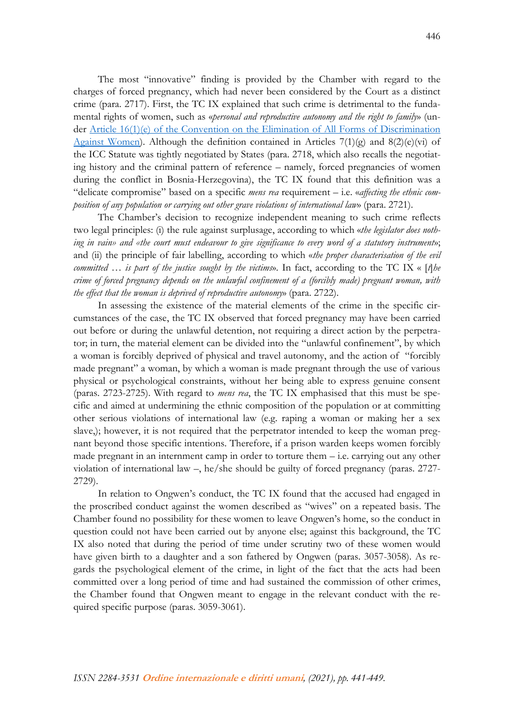The most "innovative" finding is provided by the Chamber with regard to the charges of forced pregnancy, which had never been considered by the Court as a distinct crime (para. 2717). First, the TC IX explained that such crime is detrimental to the fundamental rights of women, such as «*personal and reproductive autonomy and the right to family*» (under [Article 16\(1\)\(e\) of the Convention on the Elimination of All Forms of Discrimination](https://www.un.org/womenwatch/daw/cedaw/text/econvention.htm#article16)  [Against Women\)](https://www.un.org/womenwatch/daw/cedaw/text/econvention.htm#article16). Although the definition contained in Articles  $7(1)(g)$  and  $8(2)(e)(vi)$  of the ICC Statute was tightly negotiated by States (para. 2718, which also recalls the negotiating history and the criminal pattern of reference – namely, forced pregnancies of women during the conflict in Bosnia-Herzegovina), the TC IX found that this definition was a "delicate compromise" based on a specific *mens rea* requirement – i.e. «*affecting the ethnic composition of any population or carrying out other grave violations of international law*» (para. 2721).

The Chamber's decision to recognize independent meaning to such crime reflects two legal principles: (i) the rule against surplusage, according to which «*the legislator does nothing in vain» and «the court must endeavour to give significance to every word of a statutory instrument*»; and (ii) the principle of fair labelling, according to which «*the proper characterisation of the evil committed … is part of the justice sought by the victims*». In fact, according to the TC IX « [*t*]*he crime of forced pregnancy depends on the unlawful confinement of a (forcibly made) pregnant woman, with the effect that the woman is deprived of reproductive autonomy*» (para. 2722).

In assessing the existence of the material elements of the crime in the specific circumstances of the case, the TC IX observed that forced pregnancy may have been carried out before or during the unlawful detention, not requiring a direct action by the perpetrator; in turn, the material element can be divided into the "unlawful confinement", by which a woman is forcibly deprived of physical and travel autonomy, and the action of "forcibly made pregnant" a woman, by which a woman is made pregnant through the use of various physical or psychological constraints, without her being able to express genuine consent (paras. 2723-2725). With regard to *mens rea*, the TC IX emphasised that this must be specific and aimed at undermining the ethnic composition of the population or at committing other serious violations of international law (e.g. raping a woman or making her a sex slave,); however, it is not required that the perpetrator intended to keep the woman pregnant beyond those specific intentions. Therefore, if a prison warden keeps women forcibly made pregnant in an internment camp in order to torture them – i.e. carrying out any other violation of international law –, he/she should be guilty of forced pregnancy (paras. 2727- 2729).

In relation to Ongwen's conduct, the TC IX found that the accused had engaged in the proscribed conduct against the women described as "wives" on a repeated basis. The Chamber found no possibility for these women to leave Ongwen's home, so the conduct in question could not have been carried out by anyone else; against this background, the TC IX also noted that during the period of time under scrutiny two of these women would have given birth to a daughter and a son fathered by Ongwen (paras. 3057-3058). As regards the psychological element of the crime, in light of the fact that the acts had been committed over a long period of time and had sustained the commission of other crimes, the Chamber found that Ongwen meant to engage in the relevant conduct with the required specific purpose (paras. 3059-3061).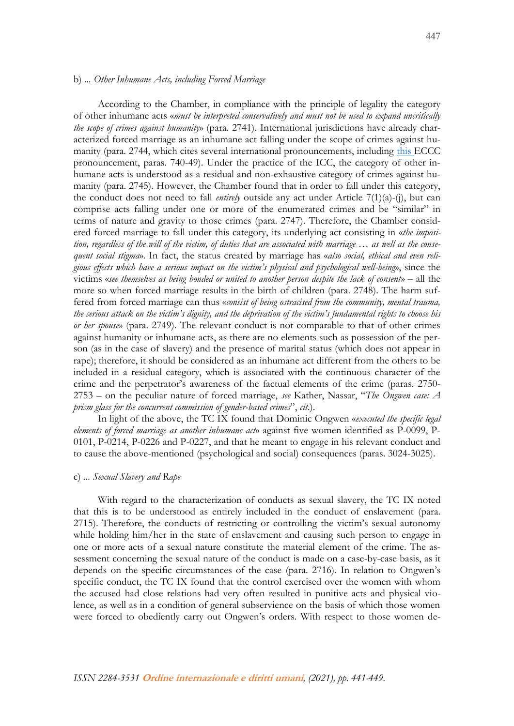## b) *... Other Inhumane Acts, including Forced Marriage*

According to the Chamber, in compliance with the principle of legality the category of other inhumane acts «*must be interpreted conservatively and must not be used to expand uncritically the scope of crimes against humanity*» (para. 2741). International jurisdictions have already characterized forced marriage as an inhumane act falling under the scope of crimes against humanity (para. 2744, which cites several international pronouncements, including [this E](https://drive.google.com/file/d/1LA9ttO7C4fgC1aSb1cAoe9ofzwDuERx5/view?ts=5c9c9bb0)CCC pronouncement, paras. 740-49). Under the practice of the ICC, the category of other inhumane acts is understood as a residual and non-exhaustive category of crimes against humanity (para. 2745). However, the Chamber found that in order to fall under this category, the conduct does not need to fall *entirely* outside any act under Article 7(1)(a)-(j), but can comprise acts falling under one or more of the enumerated crimes and be "similar" in terms of nature and gravity to those crimes (para. 2747). Therefore, the Chamber considered forced marriage to fall under this category, its underlying act consisting in «*the imposition, regardless of the will of the victim, of duties that are associated with marriage … as well as the consequent social stigma*». In fact, the status created by marriage has «*also social, ethical and even religious effects which have a serious impact on the victim's physical and psychological well-being*», since the victims «*see themselves as being bonded or united to another person despite the lack of consent*» – all the more so when forced marriage results in the birth of children (para. 2748). The harm suffered from forced marriage can thus «*consist of being ostracised from the community, mental trauma, the serious attack on the victim's dignity, and the deprivation of the victim's fundamental rights to choose his or her spouse*» (para. 2749). The relevant conduct is not comparable to that of other crimes against humanity or inhumane acts, as there are no elements such as possession of the person (as in the case of slavery) and the presence of marital status (which does not appear in rape); therefore, it should be considered as an inhumane act different from the others to be included in a residual category, which is associated with the continuous character of the crime and the perpetrator's awareness of the factual elements of the crime (paras. 2750- 2753 – on the peculiar nature of forced marriage, *see* Kather, Nassar, "*The Ongwen case: A prism glass for the concurrent commission of gender-based crimes*", *cit*.).

In light of the above, the TC IX found that Dominic Ongwen «*executed the specific legal elements of forced marriage as another inhumane act*» against five women identified as P-0099, P-0101, P-0214, P-0226 and P-0227, and that he meant to engage in his relevant conduct and to cause the above-mentioned (psychological and social) consequences (paras. 3024-3025).

### c) *... Sexual Slavery and Rape*

With regard to the characterization of conducts as sexual slavery, the TC IX noted that this is to be understood as entirely included in the conduct of enslavement (para. 2715). Therefore, the conducts of restricting or controlling the victim's sexual autonomy while holding him/her in the state of enslavement and causing such person to engage in one or more acts of a sexual nature constitute the material element of the crime. The assessment concerning the sexual nature of the conduct is made on a case-by-case basis, as it depends on the specific circumstances of the case (para. 2716). In relation to Ongwen's specific conduct, the TC IX found that the control exercised over the women with whom the accused had close relations had very often resulted in punitive acts and physical violence, as well as in a condition of general subservience on the basis of which those women were forced to obediently carry out Ongwen's orders. With respect to those women de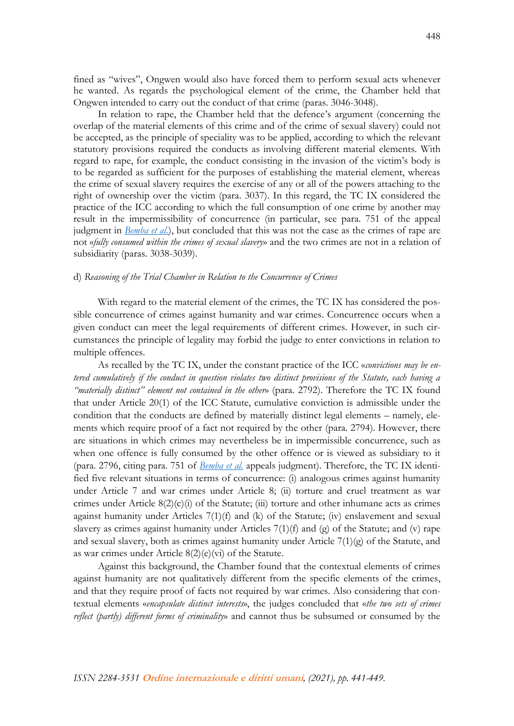fined as "wives", Ongwen would also have forced them to perform sexual acts whenever he wanted. As regards the psychological element of the crime, the Chamber held that Ongwen intended to carry out the conduct of that crime (paras. 3046-3048).

In relation to rape, the Chamber held that the defence's argument (concerning the overlap of the material elements of this crime and of the crime of sexual slavery) could not be accepted, as the principle of speciality was to be applied, according to which the relevant statutory provisions required the conducts as involving different material elements. With regard to rape, for example, the conduct consisting in the invasion of the victim's body is to be regarded as sufficient for the purposes of establishing the material element, whereas the crime of sexual slavery requires the exercise of any or all of the powers attaching to the right of ownership over the victim (para. 3037). In this regard, the TC IX considered the practice of the ICC according to which the full consumption of one crime by another may result in the impermissibility of concurrence (in particular, see para. 751 of the appeal judgment in *[Bemba et al.](https://www.legal-tools.org/doc/56cfc0/)*), but concluded that this was not the case as the crimes of rape are not «*fully consumed within the crimes of sexual slavery*» and the two crimes are not in a relation of subsidiarity (paras. 3038-3039).

### d) *Reasoning of the Trial Chamber in Relation to the Concurrence of Crimes*

With regard to the material element of the crimes, the TC IX has considered the possible concurrence of crimes against humanity and war crimes. Concurrence occurs when a given conduct can meet the legal requirements of different crimes. However, in such circumstances the principle of legality may forbid the judge to enter convictions in relation to multiple offences.

As recalled by the TC IX, under the constant practice of the ICC «*convictions may be entered cumulatively if the conduct in question violates two distinct provisions of the Statute, each having a "materially distinct" element not contained in the other*» (para. 2792). Therefore the TC IX found that under Article 20(1) of the ICC Statute, cumulative conviction is admissible under the condition that the conducts are defined by materially distinct legal elements – namely, elements which require proof of a fact not required by the other (para. 2794). However, there are situations in which crimes may nevertheless be in impermissible concurrence, such as when one offence is fully consumed by the other offence or is viewed as subsidiary to it (para. 2796, citing para. 751 of *[Bemba et al.](https://www.legal-tools.org/doc/56cfc0/)* appeals judgment). Therefore, the TC IX identified five relevant situations in terms of concurrence: (i) analogous crimes against humanity under Article 7 and war crimes under Article 8; (ii) torture and cruel treatment as war crimes under Article 8(2)(c)(i) of the Statute; (iii) torture and other inhumane acts as crimes against humanity under Articles 7(1)(f) and (k) of the Statute; (iv) enslavement and sexual slavery as crimes against humanity under Articles  $7(1)(f)$  and (g) of the Statute; and (v) rape and sexual slavery, both as crimes against humanity under Article  $7(1)(g)$  of the Statute, and as war crimes under Article 8(2)(e)(vi) of the Statute.

Against this background, the Chamber found that the contextual elements of crimes against humanity are not qualitatively different from the specific elements of the crimes, and that they require proof of facts not required by war crimes. Also considering that contextual elements «*encapsulate distinct interests*», the judges concluded that «*the two sets of crimes reflect (partly) different forms of criminality*» and cannot thus be subsumed or consumed by the